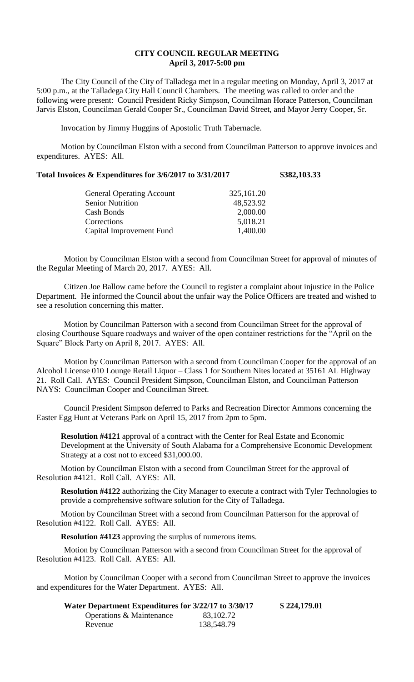## **CITY COUNCIL REGULAR MEETING April 3, 2017-5:00 pm**

The City Council of the City of Talladega met in a regular meeting on Monday, April 3, 2017 at 5:00 p.m., at the Talladega City Hall Council Chambers. The meeting was called to order and the following were present: Council President Ricky Simpson, Councilman Horace Patterson, Councilman Jarvis Elston, Councilman Gerald Cooper Sr., Councilman David Street, and Mayor Jerry Cooper, Sr.

Invocation by Jimmy Huggins of Apostolic Truth Tabernacle.

Motion by Councilman Elston with a second from Councilman Patterson to approve invoices and expenditures. AYES: All.

|  |  | Total Invoices & Expenditures for 3/6/2017 to 3/31/2017 | \$382,103.33 |
|--|--|---------------------------------------------------------|--------------|
|  |  |                                                         |              |

| <b>General Operating Account</b> | 325,161.20 |
|----------------------------------|------------|
| <b>Senior Nutrition</b>          | 48,523.92  |
| Cash Bonds                       | 2,000.00   |
| Corrections                      | 5,018.21   |
| Capital Improvement Fund         | 1,400.00   |
|                                  |            |

Motion by Councilman Elston with a second from Councilman Street for approval of minutes of the Regular Meeting of March 20, 2017. AYES: All.

Citizen Joe Ballow came before the Council to register a complaint about injustice in the Police Department. He informed the Council about the unfair way the Police Officers are treated and wished to see a resolution concerning this matter.

Motion by Councilman Patterson with a second from Councilman Street for the approval of closing Courthouse Square roadways and waiver of the open container restrictions for the "April on the Square" Block Party on April 8, 2017. AYES: All.

Motion by Councilman Patterson with a second from Councilman Cooper for the approval of an Alcohol License 010 Lounge Retail Liquor – Class 1 for Southern Nites located at 35161 AL Highway 21. Roll Call. AYES: Council President Simpson, Councilman Elston, and Councilman Patterson NAYS: Councilman Cooper and Councilman Street.

Council President Simpson deferred to Parks and Recreation Director Ammons concerning the Easter Egg Hunt at Veterans Park on April 15, 2017 from 2pm to 5pm.

**Resolution #4121** approval of a contract with the Center for Real Estate and Economic Development at the University of South Alabama for a Comprehensive Economic Development Strategy at a cost not to exceed \$31,000.00.

Motion by Councilman Elston with a second from Councilman Street for the approval of Resolution #4121. Roll Call. AYES: All.

**Resolution #4122** authorizing the City Manager to execute a contract with Tyler Technologies to provide a comprehensive software solution for the City of Talladega.

Motion by Councilman Street with a second from Councilman Patterson for the approval of Resolution #4122. Roll Call. AYES: All.

**Resolution #4123** approving the surplus of numerous items.

Motion by Councilman Patterson with a second from Councilman Street for the approval of Resolution #4123. Roll Call. AYES: All.

Motion by Councilman Cooper with a second from Councilman Street to approve the invoices and expenditures for the Water Department. AYES: All.

| Water Department Expenditures for 3/22/17 to 3/30/17 |            | \$224,179.01 |
|------------------------------------------------------|------------|--------------|
| Operations & Maintenance                             | 83,102.72  |              |
| Revenue                                              | 138,548.79 |              |